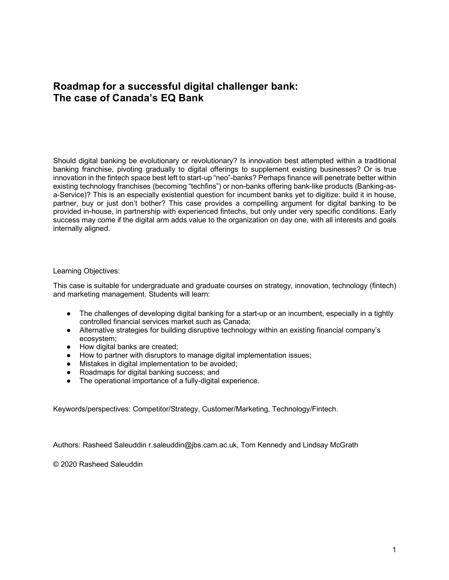# **Roadmap for a successful digital challenger bank: The case of Canada's EQ Bank**

Should digital banking be evolutionary or revolutionary? Is innovation best attempted within a traditional banking franchise, pivoting gradually to digital offerings to supplement existing businesses? Or is true innovation in the fintech space best left to start-up "neo"-banks? Perhaps finance will penetrate better within existing technology franchises (becoming "techfins") or non-banks offering bank-like products (Banking-asa-Service)? This is an especially existential question for incumbent banks yet to digitize: build it in house, partner, buy or just don't bother? This case provides a compelling argument for digital banking to be provided in-house, in partnership with experienced fintechs, but only under very specific conditions. Early success may come if the digital arm adds value to the organization on day one, with all interests and goals internally aligned.

#### Learning Objectives:

This case is suitable for undergraduate and graduate courses on strategy, innovation, technology (fintech) and marketing management. Students will learn:

- The challenges of developing digital banking for a start-up or an incumbent, especially in a tightly controlled financial services market such as Canada;
- Alternative strategies for building disruptive technology within an existing financial company's ecosystem;
- How digital banks are created;
- How to partner with disruptors to manage digital implementation issues;
- Mistakes in digital implementation to be avoided;
- Roadmaps for digital banking success; and
- The operational importance of a fully-digital experience.

Keywords/perspectives: Competitor/Strategy, Customer/Marketing, Technology/Fintech.

Authors: Rasheed Saleuddin r.saleuddin@jbs.cam.ac.uk, Tom Kennedy and Lindsay McGrath

© 2020 Rasheed Saleuddin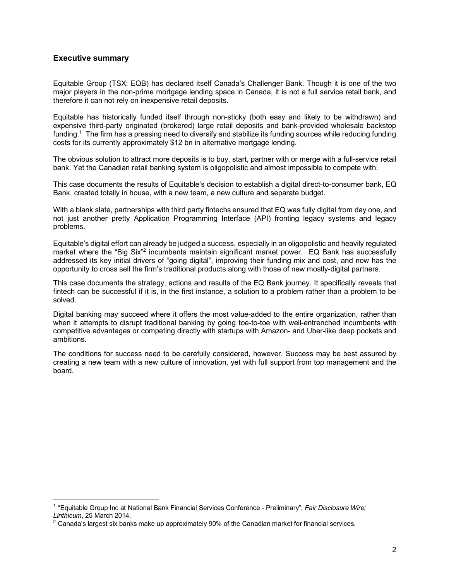# **Executive summary**

Equitable Group (TSX: EQB) has declared itself Canada's Challenger Bank. Though it is one of the two major players in the non-prime mortgage lending space in Canada, it is not a full service retail bank, and therefore it can not rely on inexpensive retail deposits.

Equitable has historically funded itself through non-sticky (both easy and likely to be withdrawn) and expensive third-party originated (brokered) large retail deposits and bank-provided wholesale backstop funding.<sup>1</sup> The firm has a pressing need to diversify and stabilize its funding sources while reducing funding costs for its currently approximately \$12 bn in alternative mortgage lending.

The obvious solution to attract more deposits is to buy, start, partner with or merge with a full-service retail bank. Yet the Canadian retail banking system is oligopolistic and almost impossible to compete with.

This case documents the results of Equitable's decision to establish a digital direct-to-consumer bank, EQ Bank, created totally in house, with a new team, a new culture and separate budget.

With a blank slate, partnerships with third party fintechs ensured that EQ was fully digital from day one, and not just another pretty Application Programming Interface (API) fronting legacy systems and legacy problems.

Equitable's digital effort can already be judged a success, especially in an oligopolistic and heavily regulated market where the "Big Six"<sup>2</sup> incumbents maintain significant market power. EQ Bank has successfully addressed its key initial drivers of "going digital", improving their funding mix and cost, and now has the opportunity to cross sell the firm's traditional products along with those of new mostly-digital partners.

This case documents the strategy, actions and results of the EQ Bank journey. It specifically reveals that fintech can be successful if it is, in the first instance, a solution to a problem rather than a problem to be solved.

Digital banking may succeed where it offers the most value-added to the entire organization, rather than when it attempts to disrupt traditional banking by going toe-to-toe with well-entrenched incumbents with competitive advantages or competing directly with startups with Amazon- and Uber-like deep pockets and ambitions.

The conditions for success need to be carefully considered, however. Success may be best assured by creating a new team with a new culture of innovation, yet with full support from top management and the board.

 <sup>1</sup> "Equitable Group Inc at National Bank Financial Services Conference - Preliminary", *Fair Disclosure Wire; Linthicum*, 25 March 2014.

 $2$  Canada's largest six banks make up approximately 90% of the Canadian market for financial services.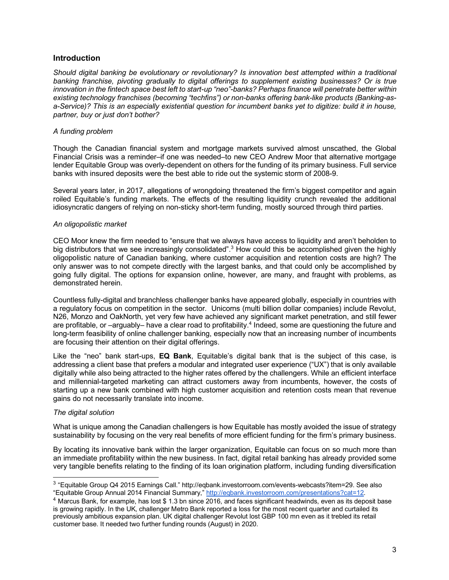# **Introduction**

*Should digital banking be evolutionary or revolutionary? Is innovation best attempted within a traditional banking franchise, pivoting gradually to digital offerings to supplement existing businesses? Or is true innovation in the fintech space best left to start-up "neo"-banks? Perhaps finance will penetrate better within existing technology franchises (becoming "techfins") or non-banks offering bank-like products (Banking-asa-Service)? This is an especially existential question for incumbent banks yet to digitize: build it in house, partner, buy or just don't bother?*

# *A funding problem*

Though the Canadian financial system and mortgage markets survived almost unscathed, the Global Financial Crisis was a reminder–if one was needed–to new CEO Andrew Moor that alternative mortgage lender Equitable Group was overly-dependent on others for the funding of its primary business. Full service banks with insured deposits were the best able to ride out the systemic storm of 2008-9.

Several years later, in 2017, allegations of wrongdoing threatened the firm's biggest competitor and again roiled Equitable's funding markets. The effects of the resulting liquidity crunch revealed the additional idiosyncratic dangers of relying on non-sticky short-term funding, mostly sourced through third parties.

#### *An oligopolistic market*

CEO Moor knew the firm needed to "ensure that we always have access to liquidity and aren't beholden to big distributors that we see increasingly consolidated".<sup>3</sup> How could this be accomplished given the highly oligopolistic nature of Canadian banking, where customer acquisition and retention costs are high? The only answer was to not compete directly with the largest banks, and that could only be accomplished by going fully digital. The options for expansion online, however, are many, and fraught with problems, as demonstrated herein.

Countless fully-digital and branchless challenger banks have appeared globally, especially in countries with a regulatory focus on competition in the sector. Unicorns (multi billion dollar companies) include Revolut, N26, Monzo and OakNorth, yet very few have achieved any significant market penetration, and still fewer are profitable, or –arguably– have a clear road to profitability.<sup>4</sup> Indeed, some are questioning the future and long-term feasibility of online challenger banking, especially now that an increasing number of incumbents are focusing their attention on their digital offerings.

Like the "neo" bank start-ups, **EQ Bank**, Equitable's digital bank that is the subject of this case, is addressing a client base that prefers a modular and integrated user experience ("UX") that is only available digitally while also being attracted to the higher rates offered by the challengers. While an efficient interface and millennial-targeted marketing can attract customers away from incumbents, however, the costs of starting up a new bank combined with high customer acquisition and retention costs mean that revenue gains do not necessarily translate into income.

#### *The digital solution*

What is unique among the Canadian challengers is how Equitable has mostly avoided the issue of strategy sustainability by focusing on the very real benefits of more efficient funding for the firm's primary business.

By locating its innovative bank within the larger organization, Equitable can focus on so much more than an immediate profitability within the new business. In fact, digital retail banking has already provided some very tangible benefits relating to the finding of its loan origination platform, including funding diversification

 <sup>3</sup> "Equitable Group Q4 2015 Earnings Call." http://eqbank.investorroom.com/events-webcasts?item=29. See also "Equitable Group Annual 2014 Financial Summary," http://eqbank.investorroom.com/presentations?cat=12.<br><sup>4</sup> Marcus Bank, for example, has lost \$ 1.3 bn since 2016, and faces significant headwinds, even as its deposit base

is growing rapidly. In the UK, challenger Metro Bank reported a loss for the most recent quarter and curtailed its previously ambitious expansion plan. UK digital challenger Revolut lost GBP 100 mn even as it trebled its retail customer base. It needed two further funding rounds (August) in 2020.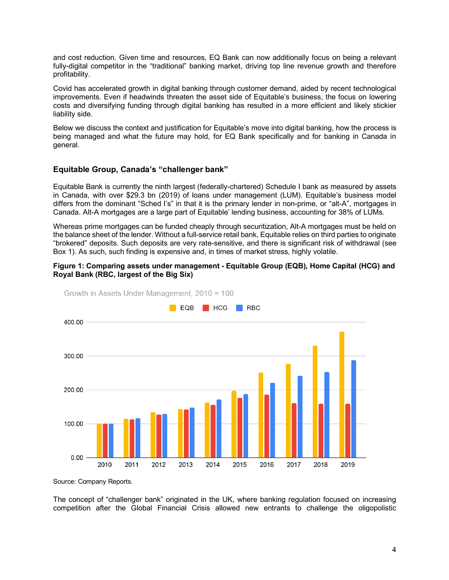and cost reduction. Given time and resources, EQ Bank can now additionally focus on being a relevant fully-digital competitor in the "traditional" banking market, driving top line revenue growth and therefore profitability.

Covid has accelerated growth in digital banking through customer demand, aided by recent technological improvements. Even if headwinds threaten the asset side of Equitable's business, the focus on lowering costs and diversifying funding through digital banking has resulted in a more efficient and likely stickier liability side.

Below we discuss the context and justification for Equitable's move into digital banking, how the process is being managed and what the future may hold, for EQ Bank specifically and for banking in Canada in general.

# **Equitable Group, Canada's "challenger bank"**

Equitable Bank is currently the ninth largest (federally-chartered) Schedule I bank as measured by assets in Canada, with over \$29.3 bn (2019) of loans under management (LUM). Equitable's business model differs from the dominant "Sched I's" in that it is the primary lender in non-prime, or "alt-A", mortgages in Canada. Alt-A mortgages are a large part of Equitable' lending business, accounting for 38% of LUMs.

Whereas prime mortgages can be funded cheaply through securitization, Alt-A mortgages must be held on the balance sheet of the lender. Without a full-service retail bank, Equitable relies on third parties to originate "brokered" deposits. Such deposits are very rate-sensitive, and there is significant risk of withdrawal (see Box 1). As such, such finding is expensive and, in times of market stress, highly volatile.

# **Figure 1: Comparing assets under management - Equitable Group (EQB), Home Capital (HCG) and Royal Bank (RBC, largest of the Big Six)**



Growth in Assets Under Management, 2010 = 100

Source: Company Reports.

The concept of "challenger bank" originated in the UK, where banking regulation focused on increasing competition after the Global Financial Crisis allowed new entrants to challenge the oligopolistic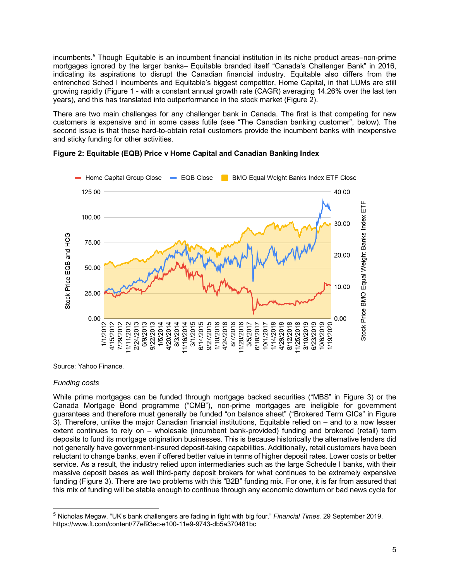incumbents.5 Though Equitable is an incumbent financial institution in its niche product areas–non-prime mortgages ignored by the larger banks– Equitable branded itself "Canada's Challenger Bank" in 2016, indicating its aspirations to disrupt the Canadian financial industry. Equitable also differs from the entrenched Sched I incumbents and Equitable's biggest competitor, Home Capital, in that LUMs are still growing rapidly (Figure 1 - with a constant annual growth rate (CAGR) averaging 14.26% over the last ten years), and this has translated into outperformance in the stock market (Figure 2).

There are two main challenges for any challenger bank in Canada. The first is that competing for new customers is expensive and in some cases futile (see "The Canadian banking customer", below). The second issue is that these hard-to-obtain retail customers provide the incumbent banks with inexpensive and sticky funding for other activities.



#### **Figure 2: Equitable (EQB) Price v Home Capital and Canadian Banking Index**

Source: Yahoo Finance.

#### *Funding costs*

While prime mortgages can be funded through mortgage backed securities ("MBS" in Figure 3) or the Canada Mortgage Bond programme ("CMB"), non-prime mortgages are ineligible for government guarantees and therefore must generally be funded "on balance sheet" ("Brokered Term GICs" in Figure 3). Therefore, unlike the major Canadian financial institutions, Equitable relied on – and to a now lesser extent continues to rely on – wholesale (incumbent bank-provided) funding and brokered (retail) term deposits to fund its mortgage origination businesses. This is because historically the alternative lenders did not generally have government-insured deposit-taking capabilities. Additionally, retail customers have been reluctant to change banks, even if offered better value in terms of higher deposit rates. Lower costs or better service. As a result, the industry relied upon intermediaries such as the large Schedule I banks, with their massive deposit bases as well third-party deposit brokers for what continues to be extremely expensive funding (Figure 3). There are two problems with this "B2B" funding mix. For one, it is far from assured that this mix of funding will be stable enough to continue through any economic downturn or bad news cycle for

 <sup>5</sup> Nicholas Megaw. "UK's bank challengers are fading in fight with big four." *Financial Times.* 29 September 2019. https://www.ft.com/content/77ef93ec-e100-11e9-9743-db5a370481bc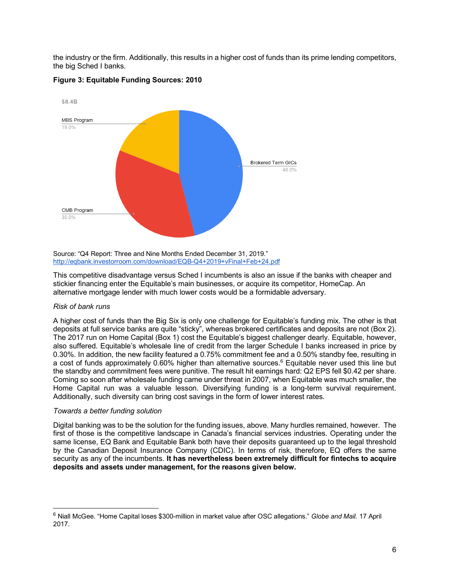the industry or the firm. Additionally, this results in a higher cost of funds than its prime lending competitors, the big Sched I banks.



#### **Figure 3: Equitable Funding Sources: 2010**

Source: "Q4 Report: Three and Nine Months Ended December 31, 2019." http://eqbank.investorroom.com/download/EQB-Q4+2019+vFinal+Feb+24.pdf

This competitive disadvantage versus Sched I incumbents is also an issue if the banks with cheaper and stickier financing enter the Equitable's main businesses, or acquire its competitor, HomeCap. An alternative mortgage lender with much lower costs would be a formidable adversary.

#### *Risk of bank runs*

A higher cost of funds than the Big Six is only one challenge for Equitable's funding mix. The other is that deposits at full service banks are quite "sticky", whereas brokered certificates and deposits are not (Box 2). The 2017 run on Home Capital (Box 1) cost the Equitable's biggest challenger dearly. Equitable, however, also suffered. Equitable's wholesale line of credit from the larger Schedule I banks increased in price by 0.30%. In addition, the new facility featured a 0.75% commitment fee and a 0.50% standby fee, resulting in a cost of funds approximately 0.60% higher than alternative sources.<sup>6</sup> Equitable never used this line but the standby and commitment fees were punitive. The result hit earnings hard: Q2 EPS fell \$0.42 per share. Coming so soon after wholesale funding came under threat in 2007, when Equitable was much smaller, the Home Capital run was a valuable lesson. Diversifying funding is a long-term survival requirement. Additionally, such diversity can bring cost savings in the form of lower interest rates.

#### *Towards a better funding solution*

Digital banking was to be the solution for the funding issues, above. Many hurdles remained, however. The first of those is the competitive landscape in Canada's financial services industries. Operating under the same license, EQ Bank and Equitable Bank both have their deposits guaranteed up to the legal threshold by the Canadian Deposit Insurance Company (CDIC). In terms of risk, therefore, EQ offers the same security as any of the incumbents. **It has nevertheless been extremely difficult for fintechs to acquire deposits and assets under management, for the reasons given below.**

 <sup>6</sup> Niall McGee. "Home Capital loses \$300-million in market value after OSC allegations." *Globe and Mail.* 17 April 2017.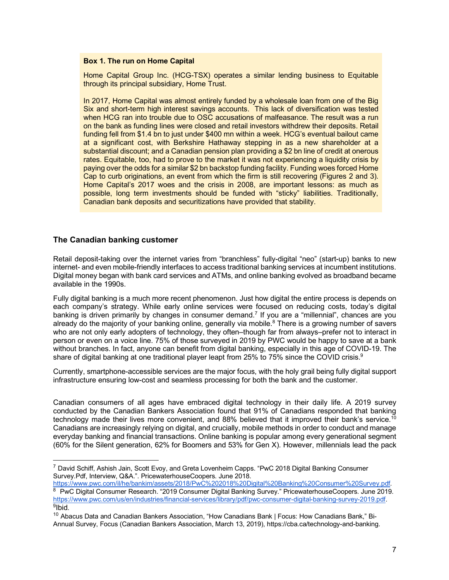#### **Box 1. The run on Home Capital**

Home Capital Group Inc. (HCG-TSX) operates a similar lending business to Equitable through its principal subsidiary, Home Trust.

In 2017, Home Capital was almost entirely funded by a wholesale loan from one of the Big Six and short-term high interest savings accounts. This lack of diversification was tested when HCG ran into trouble due to OSC accusations of malfeasance. The result was a run on the bank as funding lines were closed and retail investors withdrew their deposits. Retail funding fell from \$1.4 bn to just under \$400 mn within a week. HCG's eventual bailout came at a significant cost, with Berkshire Hathaway stepping in as a new shareholder at a substantial discount; and a Canadian pension plan providing a \$2 bn line of credit at onerous rates. Equitable, too, had to prove to the market it was not experiencing a liquidity crisis by paying over the odds for a similar \$2 bn backstop funding facility. Funding woes forced Home Cap to curb originations, an event from which the firm is still recovering (Figures 2 and 3). Home Capital's 2017 woes and the crisis in 2008, are important lessons: as much as possible, long term investments should be funded with "sticky" liabilities. Traditionally, Canadian bank deposits and securitizations have provided that stability.

# **The Canadian banking customer**

Retail deposit-taking over the internet varies from "branchless" fully-digital "neo" (start-up) banks to new internet- and even mobile-friendly interfaces to access traditional banking services at incumbent institutions. Digital money began with bank card services and ATMs, and online banking evolved as broadband became available in the 1990s.

Fully digital banking is a much more recent phenomenon. Just how digital the entire process is depends on each company's strategy. While early online services were focused on reducing costs, today's digital banking is driven primarily by changes in consumer demand.7 If you are a "millennial", chances are you already do the majority of your banking online, generally via mobile.<sup>8</sup> There is a growing number of savers who are not only early adopters of technology, they often–though far from always–prefer not to interact in person or even on a voice line. 75% of those surveyed in 2019 by PWC would be happy to save at a bank without branches. In fact, anyone can benefit from digital banking, especially in this age of COVID-19. The share of digital banking at one traditional player leapt from 25% to 75% since the COVID crisis.<sup>9</sup>

Currently, smartphone-accessible services are the major focus, with the holy grail being fully digital support infrastructure ensuring low-cost and seamless processing for both the bank and the customer.

Canadian consumers of all ages have embraced digital technology in their daily life. A 2019 survey conducted by the Canadian Bankers Association found that 91% of Canadians responded that banking technology made their lives more convenient, and 88% believed that it improved their bank's service.<sup>10</sup> Canadians are increasingly relying on digital, and crucially, mobile methods in order to conduct and manage everyday banking and financial transactions. Online banking is popular among every generational segment (60% for the Silent generation, 62% for Boomers and 53% for Gen X). However, millennials lead the pack

 <sup>7</sup> David Schiff, Ashish Jain, Scott Evoy, and Greta Lovenheim Capps. "PwC 2018 Digital Banking Consumer Survey.Pdf, Interview, Q&A.". PricewaterhouseCoopers. June 2018.

https://www.pwc.com/il/he/bankim/assets/2018/PwC%202018%20Digital%20Banking%20Consumer%20Survey.pdf. <sup>8</sup> PwC Digital Consumer Research. "2019 Consumer Digital Banking Survey." PricewaterhouseCoopers. June 2019. https://www.pwc.com/us/en/industries/financial-services/library/pdf/pwc-consumer-digital-banking-survey-2019.pdf. <sup>9</sup>lbid.

<sup>&</sup>lt;sup>10</sup> Abacus Data and Canadian Bankers Association, "How Canadians Bank | Focus: How Canadians Bank," Bi-Annual Survey, Focus (Canadian Bankers Association, March 13, 2019), https://cba.ca/technology-and-banking.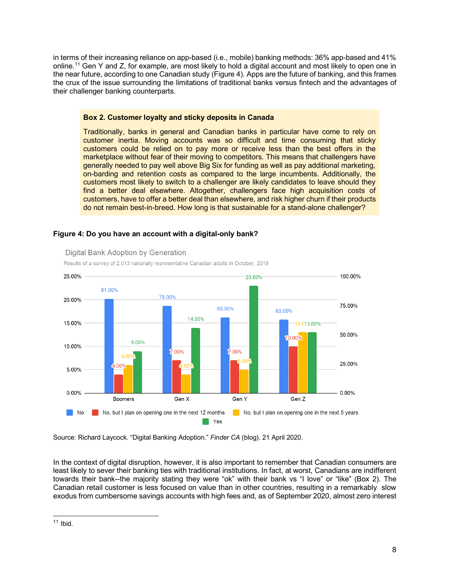in terms of their increasing reliance on app-based (i.e., mobile) banking methods: 36% app-based and 41% online.11 Gen Y and Z, for example, are most likely to hold a digital account and most likely to open one in the near future, according to one Canadian study (Figure 4). Apps are the future of banking, and this frames the crux of the issue surrounding the limitations of traditional banks versus fintech and the advantages of their challenger banking counterparts.

# **Box 2. Customer loyalty and sticky deposits in Canada**

Traditionally, banks in general and Canadian banks in particular have come to rely on customer inertia. Moving accounts was so difficult and time consuming that sticky customers could be relied on to pay more or receive less than the best offers in the marketplace without fear of their moving to competitors. This means that challengers have generally needed to pay well above Big Six for funding as well as pay additional marketing, on-barding and retention costs as compared to the large incumbents. Additionally, the customers most likely to switch to a challenger are likely candidates to leave should they find a better deal elsewhere. Altogether, challengers face high acquisition costs of customers, have to offer a better deal than elsewhere, and risk higher churn if their products do not remain best-in-breed. How long is that sustainable for a stand-alone challenger?

# **Figure 4: Do you have an account with a digital-only bank?**



Digital Bank Adoption by Generation

Results of a survey of 2,013 nationally representative Canadian adults in October, 2019

Source: Richard Laycock. "Digital Banking Adoption." *Finder CA* (blog). 21 April 2020.

In the context of digital disruption, however, it is also important to remember that Canadian consumers are least likely to sever their banking ties with traditional institutions. In fact, at worst, Canadians are indifferent towards their bank--the majority stating they were "ok" with their bank vs "I love" or "like" (Box 2). The Canadian retail customer is less focused on value than in other countries, resulting in a remarkably slow exodus from cumbersome savings accounts with high fees and, as of September 2020, almost zero interest

 $11$  Ibid.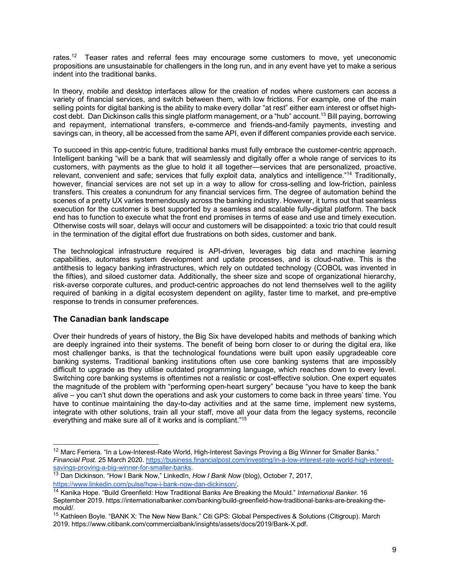rates.<sup>12</sup> Teaser rates and referral fees may encourage some customers to move, yet uneconomic propositions are unsustainable for challengers in the long run, and in any event have yet to make a serious indent into the traditional banks.

In theory, mobile and desktop interfaces allow for the creation of nodes where customers can access a variety of financial services, and switch between them, with low frictions. For example, one of the main selling points for digital banking is the ability to make every dollar "at rest" either earn interest or offset highcost debt. Dan Dickinson calls this single platform management, or a "hub" account.13 Bill paying, borrowing and repayment, international transfers, e-commerce and friends-and-family payments, investing and savings can, in theory, all be accessed from the same API, even if different companies provide each service.

To succeed in this app-centric future, traditional banks must fully embrace the customer-centric approach. Intelligent banking "will be a bank that will seamlessly and digitally offer a whole range of services to its customers, with payments as the glue to hold it all together—services that are personalized, proactive, relevant, convenient and safe; services that fully exploit data, analytics and intelligence."14 Traditionally, however, financial services are not set up in a way to allow for cross-selling and low-friction, painless transfers. This creates a conundrum for any financial services firm. The degree of automation behind the scenes of a pretty UX varies tremendously across the banking industry. However, it turns out that seamless execution for the customer is best supported by a seamless and scalable fully-digital platform. The back end has to function to execute what the front end promises in terms of ease and use and timely execution. Otherwise costs will soar, delays will occur and customers will be disappointed: a toxic trio that could result in the termination of the digital effort due frustrations on both sides, customer and bank.

The technological infrastructure required is API-driven, leverages big data and machine learning capabilities, automates system development and update processes, and is cloud-native. This is the antithesis to legacy banking infrastructures, which rely on outdated technology (COBOL was invented in the fifties), and siloed customer data. Additionally, the sheer size and scope of organizational hierarchy, risk-averse corporate cultures, and product-centric approaches do not lend themselves well to the agility required of banking in a digital ecosystem dependent on agility, faster time to market, and pre-emptive response to trends in consumer preferences.

# **The Canadian bank landscape**

Over their hundreds of years of history, the Big Six have developed habits and methods of banking which are deeply ingrained into their systems. The benefit of being born closer to or during the digital era, like most challenger banks, is that the technological foundations were built upon easily upgradeable core banking systems. Traditional banking institutions often use core banking systems that are impossibly difficult to upgrade as they utilise outdated programming language, which reaches down to every level. Switching core banking systems is oftentimes not a realistic or cost-effective solution. One expert equates the magnitude of the problem with "performing open-heart surgery" because "you have to keep the bank alive – you can't shut down the operations and ask your customers to come back in three years' time. You have to continue maintaining the day-to-day activities and at the same time, implement new systems, integrate with other solutions, train all your staff, move all your data from the legacy systems, reconcile everything and make sure all of it works and is compliant."<sup>15</sup>

<sup>&</sup>lt;sup>12</sup> Marc Ferriera. "In a Low-Interest-Rate World, High-Interest Savings Proving a Big Winner for Smaller Banks." *Financial Post.* 25 March 2020. https://business.financialpost.com/investing/in-a-low-interest-rate-world-high-interest-

<sup>13</sup> Dan Dickinson. "How I Bank Now," LinkedIn, *How I Bank Now (blog), October 7, 2017,* https://www.linkedin.com/pulse/how-i-bank-now-dan-dickinson/.

<sup>14</sup> Kanika Hope. "Build Greenfield: How Traditional Banks Are Breaking the Mould." *International Banker.* 16 September 2019. https://internationalbanker.com/banking/build-greenfield-how-traditional-banks-are-breaking-themould/.

<sup>15</sup> Kathleen Boyle. "BANK X: The New New Bank." Citi GPS: Global Perspectives & Solutions (Citigroup). March 2019. https://www.citibank.com/commercialbank/insights/assets/docs/2019/Bank-X.pdf.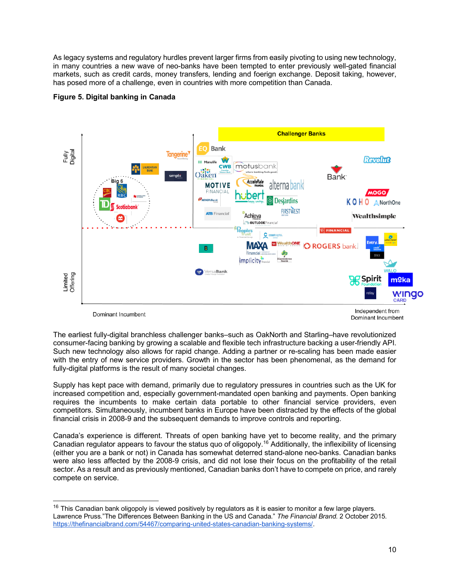As legacy systems and regulatory hurdles prevent larger firms from easily pivoting to using new technology, in many countries a new wave of neo-banks have been tempted to enter previously well-gated financial markets, such as credit cards, money transfers, lending and foerign exchange. Deposit taking, however, has posed more of a challenge, even in countries with more competition than Canada.



#### **Figure 5. Digital banking in Canada**

Dominant Incumbent

Independent from Dominant Incumbent

The earliest fully-digital branchless challenger banks–such as OakNorth and Starling–have revolutionized consumer-facing banking by growing a scalable and flexible tech infrastructure backing a user-friendly API. Such new technology also allows for rapid change. Adding a partner or re-scaling has been made easier with the entry of new service providers. Growth in the sector has been phenomenal, as the demand for fully-digital platforms is the result of many societal changes.

Supply has kept pace with demand, primarily due to regulatory pressures in countries such as the UK for increased competition and, especially government-mandated open banking and payments. Open banking requires the incumbents to make certain data portable to other financial service providers, even competitors. Simultaneously, incumbent banks in Europe have been distracted by the effects of the global financial crisis in 2008-9 and the subsequent demands to improve controls and reporting.

Canada's experience is different. Threats of open banking have yet to become reality, and the primary Canadian regulator appears to favour the status quo of oligopoly.16 Additionally, the inflexibility of licensing (either you are a bank or not) in Canada has somewhat deterred stand-alone neo-banks. Canadian banks were also less affected by the 2008-9 crisis, and did not lose their focus on the profitability of the retail sector. As a result and as previously mentioned, Canadian banks don't have to compete on price, and rarely compete on service.

 $16$  This Canadian bank oligopoly is viewed positively by regulators as it is easier to monitor a few large players. Lawrence Pruss."The Differences Between Banking in the US and Canada." *The Financial Brand*. 2 October 2015. https://thefinancialbrand.com/54467/comparing-united-states-canadian-banking-systems/.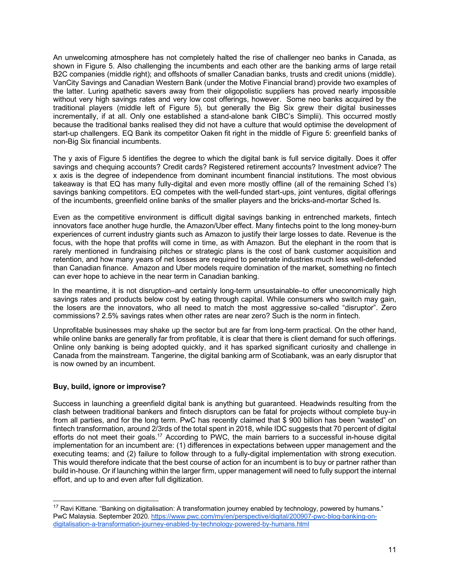An unwelcoming atmosphere has not completely halted the rise of challenger neo banks in Canada, as shown in Figure 5. Also challenging the incumbents and each other are the banking arms of large retail B2C companies (middle right); and offshoots of smaller Canadian banks, trusts and credit unions (middle). VanCity Savings and Canadian Western Bank (under the Motive Financial brand) provide two examples of the latter. Luring apathetic savers away from their oligopolistic suppliers has proved nearly impossible without very high savings rates and very low cost offerings, however. Some neo banks acquired by the traditional players (middle left of Figure 5), but generally the Big Six grew their digital businesses incrementally, if at all. Only one established a stand-alone bank CIBC's Simplii). This occurred mostly because the traditional banks realised they did not have a culture that would optimise the development of start-up challengers. EQ Bank its competitor Oaken fit right in the middle of Figure 5: greenfield banks of non-Big Six financial incumbents.

The y axis of Figure 5 identifies the degree to which the digital bank is full service digitally. Does it offer savings and chequing accounts? Credit cards? Registered retirement accounts? Investment advice? The x axis is the degree of independence from dominant incumbent financial institutions. The most obvious takeaway is that EQ has many fully-digital and even more mostly offline (all of the remaining Sched I's) savings banking competitors. EQ competes with the well-funded start-ups, joint ventures, digital offerings of the incumbents, greenfield online banks of the smaller players and the bricks-and-mortar Sched Is.

Even as the competitive environment is difficult digital savings banking in entrenched markets, fintech innovators face another huge hurdle, the Amazon/Uber effect. Many fintechs point to the long money-burn experiences of current industry giants such as Amazon to justify their large losses to date. Revenue is the focus, with the hope that profits will come in time, as with Amazon. But the elephant in the room that is rarely mentioned in fundraising pitches or strategic plans is the cost of bank customer acquisition and retention, and how many years of net losses are required to penetrate industries much less well-defended than Canadian finance. Amazon and Uber models require domination of the market, something no fintech can ever hope to achieve in the near term in Canadian banking.

In the meantime, it is not disruption–and certainly long-term unsustainable–to offer uneconomically high savings rates and products below cost by eating through capital. While consumers who switch may gain, the losers are the innovators, who all need to match the most aggressive so-called "disruptor". Zero commissions? 2.5% savings rates when other rates are near zero? Such is the norm in fintech.

Unprofitable businesses may shake up the sector but are far from long-term practical. On the other hand, while online banks are generally far from profitable, it is clear that there is client demand for such offerings. Online only banking is being adopted quickly, and it has sparked significant curiosity and challenge in Canada from the mainstream. Tangerine, the digital banking arm of Scotiabank, was an early disruptor that is now owned by an incumbent.

# **Buy, build, ignore or improvise?**

Success in launching a greenfield digital bank is anything but guaranteed. Headwinds resulting from the clash between traditional bankers and fintech disruptors can be fatal for projects without complete buy-in from all parties, and for the long term. PwC has recently claimed that \$ 900 billion has been "wasted" on fintech transformation, around 2/3rds of the total spent in 2018, while IDC suggests that 70 percent of digital efforts do not meet their goals.17 According to PWC, the main barriers to a successful in-house digital implementation for an incumbent are: (1) differences in expectations between upper management and the executing teams; and (2) failure to follow through to a fully-digital implementation with strong execution. This would therefore indicate that the best course of action for an incumbent is to buy or partner rather than build in-house. Or if launching within the larger firm, upper management will need to fully support the internal effort, and up to and even after full digitization.

 $17$  Ravi Kittane. "Banking on digitalisation: A transformation journey enabled by technology, powered by humans." PwC Malaysia. September 2020. https://www.pwc.com/my/en/perspective/digital/200907-pwc-blog-banking-ondigitalisation-a-transformation-journey-enabled-by-technology-powered-by-humans.html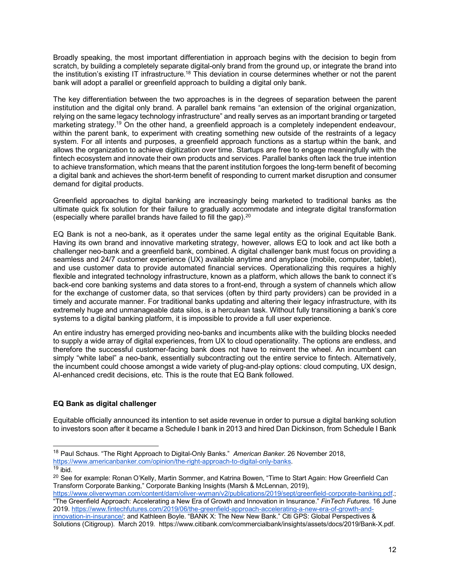Broadly speaking, the most important differentiation in approach begins with the decision to begin from scratch, by building a completely separate digital-only brand from the ground up, or integrate the brand into the institution's existing IT infrastructure.<sup>18</sup> This deviation in course determines whether or not the parent bank will adopt a parallel or greenfield approach to building a digital only bank.

The key differentiation between the two approaches is in the degrees of separation between the parent institution and the digital only brand. A parallel bank remains "an extension of the original organization, relying on the same legacy technology infrastructure" and really serves as an important branding or targeted marketing strategy.<sup>19</sup> On the other hand, a greenfield approach is a completely independent endeavour, within the parent bank, to experiment with creating something new outside of the restraints of a legacy system. For all intents and purposes, a greenfield approach functions as a startup within the bank, and allows the organization to achieve digitization over time. Startups are free to engage meaningfully with the fintech ecosystem and innovate their own products and services. Parallel banks often lack the true intention to achieve transformation, which means that the parent institution forgoes the long-term benefit of becoming a digital bank and achieves the short-term benefit of responding to current market disruption and consumer demand for digital products.

Greenfield approaches to digital banking are increasingly being marketed to traditional banks as the ultimate quick fix solution for their failure to gradually accommodate and integrate digital transformation (especially where parallel brands have failed to fill the gap).20

EQ Bank is not a neo-bank, as it operates under the same legal entity as the original Equitable Bank. Having its own brand and innovative marketing strategy, however, allows EQ to look and act like both a challenger neo-bank and a greenfield bank, combined. A digital challenger bank must focus on providing a seamless and 24/7 customer experience (UX) available anytime and anyplace (mobile, computer, tablet), and use customer data to provide automated financial services. Operationalizing this requires a highly flexible and integrated technology infrastructure, known as a platform, which allows the bank to connect it's back-end core banking systems and data stores to a front-end, through a system of channels which allow for the exchange of customer data, so that services (often by third party providers) can be provided in a timely and accurate manner. For traditional banks updating and altering their legacy infrastructure, with its extremely huge and unmanageable data silos, is a herculean task. Without fully transitioning a bank's core systems to a digital banking platform, it is impossible to provide a full user experience.

An entire industry has emerged providing neo-banks and incumbents alike with the building blocks needed to supply a wide array of digital experiences, from UX to cloud operationality. The options are endless, and therefore the successful customer-facing bank does not have to reinvent the wheel. An incumbent can simply "white label" a neo-bank, essentially subcontracting out the entire service to fintech. Alternatively, the incumbent could choose amongst a wide variety of plug-and-play options: cloud computing, UX design, AI-enhanced credit decisions, etc. This is the route that EQ Bank followed.

# **EQ Bank as digital challenger**

Equitable officially announced its intention to set aside revenue in order to pursue a digital banking solution to investors soon after it became a Schedule I bank in 2013 and hired Dan Dickinson, from Schedule I Bank

https://www.oliverwyman.com/content/dam/oliver-wyman/v2/publications/2019/sept/greenfield-corporate-banking.pdf.; "The Greenfield Approach: Accelerating a New Era of Growth and Innovation in Insurance." *FinTech Futures.* 16 June 2019. https://www.fintechfutures.com/2019/06/the-greenfield-approach-accelerating-a-new-era-of-growth-andinnovation-in-insurance/; and Kathleen Boyle. "BANK X: The New New Bank." Citi GPS: Global Perspectives &

 <sup>18</sup> Paul Schaus. "The Right Approach to Digital-Only Banks." *American Banker.* 26 November 2018, https://www.americanbanker.com/opinion/the-right-approach-to-digital-only-banks.

 $19$  ibid.

<sup>&</sup>lt;sup>20</sup> See for example: Ronan O'Kelly, Martin Sommer, and Katrina Bowen, "Time to Start Again: How Greenfield Can Transform Corporate Banking," Corporate Banking Insights (Marsh & McLennan, 2019),

Solutions (Citigroup). March 2019. https://www.citibank.com/commercialbank/insights/assets/docs/2019/Bank-X.pdf.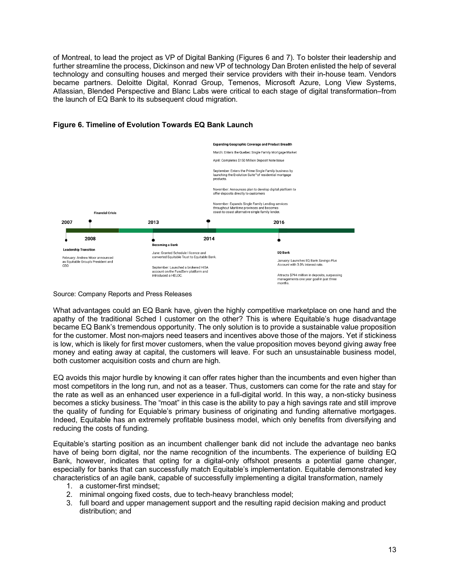of Montreal, to lead the project as VP of Digital Banking (Figures 6 and 7). To bolster their leadership and further streamline the process, Dickinson and new VP of technology Dan Broten enlisted the help of several technology and consulting houses and merged their service providers with their in-house team. Vendors became partners. Deloitte Digital, Konrad Group, Temenos, Microsoft Azure, Long View Systems, Atlassian, Blended Perspective and Blanc Labs were critical to each stage of digital transformation–from the launch of EQ Bank to its subsequent cloud migration.



# **Figure 6. Timeline of Evolution Towards EQ Bank Launch**

What advantages could an EQ Bank have, given the highly competitive marketplace on one hand and the apathy of the traditional Sched I customer on the other? This is where Equitable's huge disadvantage became EQ Bank's tremendous opportunity. The only solution is to provide a sustainable value proposition for the customer. Most non-majors need teasers and incentives above those of the majors. Yet if stickiness is low, which is likely for first mover customers, when the value proposition moves beyond giving away free money and eating away at capital, the customers will leave. For such an unsustainable business model, both customer acquisition costs and churn are high.

EQ avoids this major hurdle by knowing it can offer rates higher than the incumbents and even higher than most competitors in the long run, and not as a teaser. Thus, customers can come for the rate and stay for the rate as well as an enhanced user experience in a full-digital world. In this way, a non-sticky business becomes a sticky business. The "moat" in this case is the ability to pay a high savings rate and still improve the quality of funding for Equiable's primary business of originating and funding alternative mortgages. Indeed, Equitable has an extremely profitable business model, which only benefits from diversifying and reducing the costs of funding.

Equitable's starting position as an incumbent challenger bank did not include the advantage neo banks have of being born digital, nor the name recognition of the incumbents. The experience of building EQ Bank, however, indicates that opting for a digital-only offshoot presents a potential game changer, especially for banks that can successfully match Equitable's implementation. Equitable demonstrated key characteristics of an agile bank, capable of successfully implementing a digital transformation, namely

- 1. a customer-first mindset;
- 2. minimal ongoing fixed costs, due to tech-heavy branchless model;
- 3. full board and upper management support and the resulting rapid decision making and product distribution; and

Source: Company Reports and Press Releases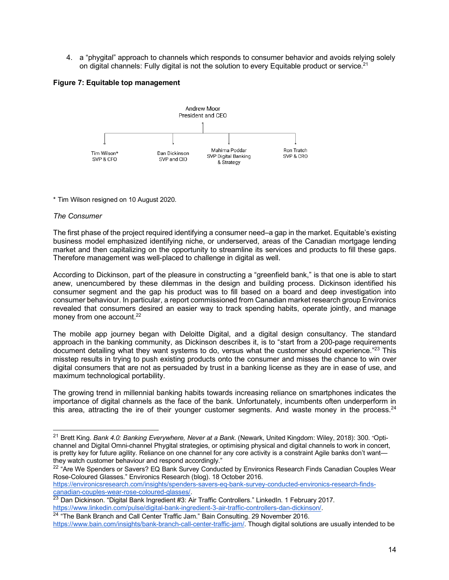4. a "phygital" approach to channels which responds to consumer behavior and avoids relying solely on digital channels: Fully digital is not the solution to every Equitable product or service.<sup>21</sup>

# **Figure 7: Equitable top management**



\* Tim Wilson resigned on 10 August 2020.

#### *The Consumer*

The first phase of the project required identifying a consumer need–a gap in the market. Equitable's existing business model emphasized identifying niche, or underserved, areas of the Canadian mortgage lending market and then capitalizing on the opportunity to streamline its services and products to fill these gaps. Therefore management was well-placed to challenge in digital as well.

According to Dickinson, part of the pleasure in constructing a "greenfield bank," is that one is able to start anew, unencumbered by these dilemmas in the design and building process. Dickinson identified his consumer segment and the gap his product was to fill based on a board and deep investigation into consumer behaviour. In particular, a report commissioned from Canadian market research group Environics revealed that consumers desired an easier way to track spending habits, operate jointly, and manage money from one account.<sup>22</sup>

The mobile app journey began with Deloitte Digital, and a digital design consultancy. The standard approach in the banking community, as Dickinson describes it, is to "start from a 200-page requirements document detailing what they want systems to do, versus what the customer should experience."<sup>23</sup> This misstep results in trying to push existing products onto the consumer and misses the chance to win over digital consumers that are not as persuaded by trust in a banking license as they are in ease of use, and maximum technological portability.

The growing trend in millennial banking habits towards increasing reliance on smartphones indicates the importance of digital channels as the face of the bank. Unfortunately, incumbents often underperform in this area, attracting the ire of their younger customer segments. And waste money in the process.<sup>24</sup>

<sup>24</sup> "The Bank Branch and Call Center Traffic Jam." Bain Consulting. 29 November 2016.

 <sup>21</sup> Brett King. *Bank 4.0: Banking Everywhere, Never at a Bank.* (Newark, United Kingdom: Wiley, 2018): 300. "Optichannel and Digital Omni-channel Phygital strategies, or optimising physical and digital channels to work in concert, is pretty key for future agility. Reliance on one channel for any core activity is a constraint Agile banks don't want they watch customer behaviour and respond accordingly."

<sup>&</sup>lt;sup>22</sup> "Are We Spenders or Savers? EQ Bank Survey Conducted by Environics Research Finds Canadian Couples Wear Rose-Coloured Glasses." Environics Research (blog). 18 October 2016.

https://environicsresearch.com/insights/spenders-savers-eq-bank-survey-conducted-environics-research-findscanadian-couples-wear-rose-coloured-glasses/.

<sup>&</sup>lt;sup>23</sup> Dan Dickinson. "Digital Bank Ingredient #3: Air Traffic Controllers." LinkedIn. 1 February 2017. https://www.linkedin.com/pulse/digital-bank-ingredient-3-air-traffic-controllers-dan-dickinson/.

https://www.bain.com/insights/bank-branch-call-center-traffic-jam/. Though digital solutions are usually intended to be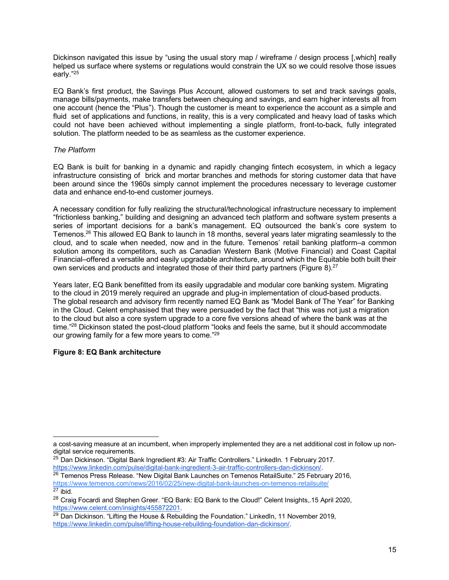Dickinson navigated this issue by "using the usual story map / wireframe / design process [,which] really helped us surface where systems or regulations would constrain the UX so we could resolve those issues early."25

EQ Bank's first product, the Savings Plus Account, allowed customers to set and track savings goals, manage bills/payments, make transfers between chequing and savings, and earn higher interests all from one account (hence the "Plus"). Though the customer is meant to experience the account as a simple and fluid set of applications and functions, in reality, this is a very complicated and heavy load of tasks which could not have been achieved without implementing a single platform, front-to-back, fully integrated solution. The platform needed to be as seamless as the customer experience.

#### *The Platform*

EQ Bank is built for banking in a dynamic and rapidly changing fintech ecosystem, in which a legacy infrastructure consisting of brick and mortar branches and methods for storing customer data that have been around since the 1960s simply cannot implement the procedures necessary to leverage customer data and enhance end-to-end customer journeys.

A necessary condition for fully realizing the structural/technological infrastructure necessary to implement "frictionless banking," building and designing an advanced tech platform and software system presents a series of important decisions for a bank's management. EQ outsourced the bank's core system to Temenos.26 This allowed EQ Bank to launch in 18 months, several years later migrating seamlessly to the cloud, and to scale when needed, now and in the future. Temenos' retail banking platform–a common solution among its competitors, such as Canadian Western Bank (Motive Financial) and Coast Capital Financial–offered a versatile and easily upgradable architecture, around which the Equitable both built their own services and products and integrated those of their third party partners (Figure  $8$ ).<sup>27</sup>

Years later, EQ Bank benefitted from its easily upgradable and modular core banking system. Migrating to the cloud in 2019 merely required an upgrade and plug-in implementation of cloud-based products. The global research and advisory firm recently named EQ Bank as "Model Bank of The Year" for Banking in the Cloud. Celent emphasised that they were persuaded by the fact that "this was not just a migration to the cloud but also a core system upgrade to a core five versions ahead of where the bank was at the time."28 Dickinson stated the post-cloud platform "looks and feels the same, but it should accommodate our growing family for a few more years to come."<sup>29</sup>

# **Figure 8: EQ Bank architecture**

l

a cost-saving measure at an incumbent, when improperly implemented they are a net additional cost in follow up nondigital service requirements.

<sup>25</sup> Dan Dickinson. "Digital Bank Ingredient #3: Air Traffic Controllers." LinkedIn. 1 February 2017. https://www.linkedin.com/pulse/digital-bank-ingredient-3-air-traffic-controllers-dan-dickinson/.

<sup>&</sup>lt;sup>26</sup> Temenos Press Release. "New Digital Bank Launches on Temenos RetailSuite." 25 February 2016, https://www.temenos.com/news/2016/02/25/new-digital-bank-launches-on-temenos-retailsuite/

 $27$  ibid.

<sup>&</sup>lt;sup>28</sup> Craig Focardi and Stephen Greer. "EQ Bank: EQ Bank to the Cloud!" Celent Insights,.15 April 2020, https://www.celent.com/insights/455872201.

 $29$  Dan Dickinson. "Lifting the House & Rebuilding the Foundation." LinkedIn, 11 November 2019, https://www.linkedin.com/pulse/lifting-house-rebuilding-foundation-dan-dickinson/.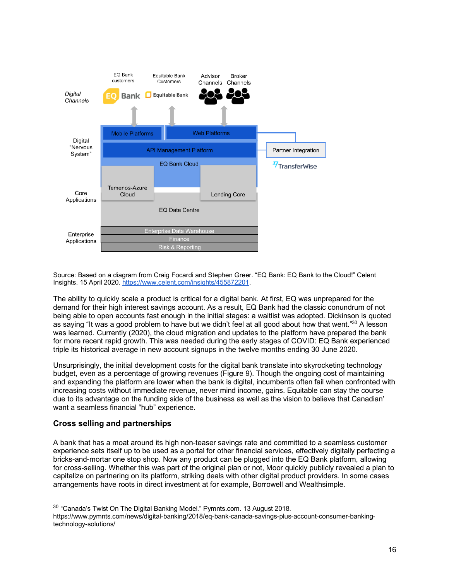

Source: Based on a diagram from Craig Focardi and Stephen Greer. "EQ Bank: EQ Bank to the Cloud!" Celent Insights. 15 April 2020. https://www.celent.com/insights/455872201.

The ability to quickly scale a product is critical for a digital bank. At first, EQ was unprepared for the demand for their high interest savings account. As a result, EQ Bank had the classic conundrum of not being able to open accounts fast enough in the initial stages: a waitlist was adopted. Dickinson is quoted as saying "It was a good problem to have but we didn't feel at all good about how that went."<sup>30</sup> A lesson was learned. Currently (2020), the cloud migration and updates to the platform have prepared the bank for more recent rapid growth. This was needed during the early stages of COVID: EQ Bank experienced triple its historical average in new account signups in the twelve months ending 30 June 2020.

Unsurprisingly, the initial development costs for the digital bank translate into skyrocketing technology budget, even as a percentage of growing revenues (Figure 9). Though the ongoing cost of maintaining and expanding the platform are lower when the bank is digital, incumbents often fail when confronted with increasing costs without immediate revenue, never mind income, gains. Equitable can stay the course due to its advantage on the funding side of the business as well as the vision to believe that Canadian' want a seamless financial "hub" experience.

# **Cross selling and partnerships**

A bank that has a moat around its high non-teaser savings rate and committed to a seamless customer experience sets itself up to be used as a portal for other financial services, effectively digitally perfecting a bricks-and-mortar one stop shop. Now any product can be plugged into the EQ Bank platform, allowing for cross-selling. Whether this was part of the original plan or not, Moor quickly publicly revealed a plan to capitalize on partnering on its platform, striking deals with other digital product providers. In some cases arrangements have roots in direct investment at for example, Borrowell and Wealthsimple.

<sup>&</sup>lt;sup>30</sup> "Canada's Twist On The Digital Banking Model." Pymnts.com. 13 August 2018. https://www.pymnts.com/news/digital-banking/2018/eq-bank-canada-savings-plus-account-consumer-bankingtechnology-solutions/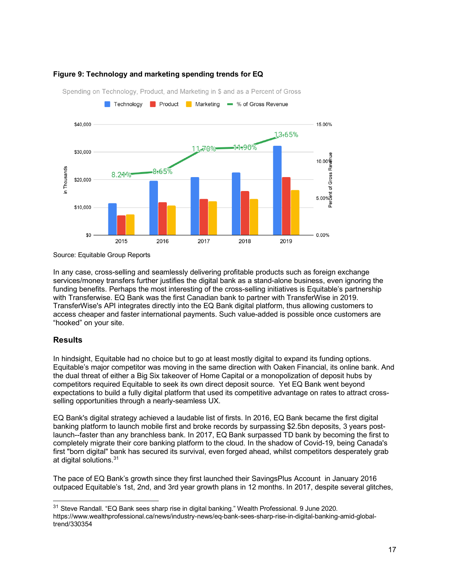

Technology **Penduct Marketing •** % of Gross Revenue

# **Figure 9: Technology and marketing spending trends for EQ**

Spending on Technology, Product, and Marketing in \$ and as a Percent of Gross

Source: Equitable Group Reports

In any case, cross-selling and seamlessly delivering profitable products such as foreign exchange services/money transfers further justifies the digital bank as a stand-alone business, even ignoring the funding benefits. Perhaps the most interesting of the cross-selling initiatives is Equitable's partnership with Transferwise. EQ Bank was the first Canadian bank to partner with TransferWise in 2019. TransferWise's API integrates directly into the EQ Bank digital platform, thus allowing customers to access cheaper and faster international payments. Such value-added is possible once customers are "hooked" on your site.

# **Results**

In hindsight, Equitable had no choice but to go at least mostly digital to expand its funding options. Equitable's major competitor was moving in the same direction with Oaken Financial, its online bank. And the dual threat of either a Big Six takeover of Home Capital or a monopolization of deposit hubs by competitors required Equitable to seek its own direct deposit source. Yet EQ Bank went beyond expectations to build a fully digital platform that used its competitive advantage on rates to attract crossselling opportunities through a nearly-seamless UX.

EQ Bank's digital strategy achieved a laudable list of firsts. In 2016, EQ Bank became the first digital banking platform to launch mobile first and broke records by surpassing \$2.5bn deposits, 3 years postlaunch--faster than any branchless bank. In 2017, EQ Bank surpassed TD bank by becoming the first to completely migrate their core banking platform to the cloud. In the shadow of Covid-19, being Canada's first "born digital" bank has secured its survival, even forged ahead, whilst competitors desperately grab at digital solutions.31

The pace of EQ Bank's growth since they first launched their SavingsPlus Account in January 2016 outpaced Equitable's 1st, 2nd, and 3rd year growth plans in 12 months. In 2017, despite several glitches,

<sup>&</sup>lt;sup>31</sup> Steve Randall. "EQ Bank sees sharp rise in digital banking." Wealth Professional. 9 June 2020. https://www.wealthprofessional.ca/news/industry-news/eq-bank-sees-sharp-rise-in-digital-banking-amid-globaltrend/330354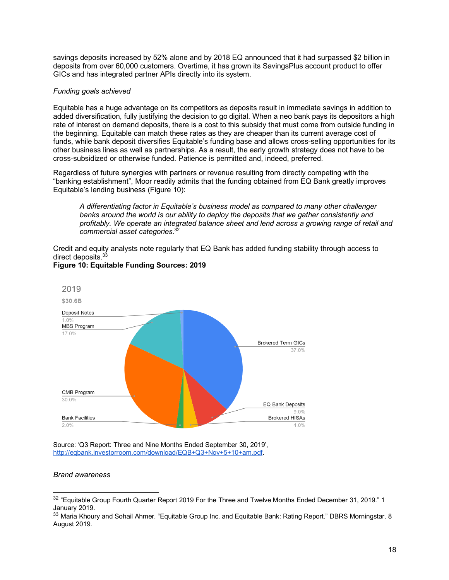savings deposits increased by 52% alone and by 2018 EQ announced that it had surpassed \$2 billion in deposits from over 60,000 customers. Overtime, it has grown its SavingsPlus account product to offer GICs and has integrated partner APIs directly into its system.

#### *Funding goals achieved*

Equitable has a huge advantage on its competitors as deposits result in immediate savings in addition to added diversification, fully justifying the decision to go digital. When a neo bank pays its depositors a high rate of interest on demand deposits, there is a cost to this subsidy that must come from outside funding in the beginning. Equitable can match these rates as they are cheaper than its current average cost of funds, while bank deposit diversifies Equitable's funding base and allows cross-selling opportunities for its other business lines as well as partnerships. As a result, the early growth strategy does not have to be cross-subsidized or otherwise funded. Patience is permitted and, indeed, preferred.

Regardless of future synergies with partners or revenue resulting from directly competing with the "banking establishment", Moor readily admits that the funding obtained from EQ Bank greatly improves Equitable's lending business (Figure 10):

*A differentiating factor in Equitable's business model as compared to many other challenger banks around the world is our ability to deploy the deposits that we gather consistently and profitably. We operate an integrated balance sheet and lend across a growing range of retail and commercial asset categories.*<sup>32</sup>

Credit and equity analysts note regularly that EQ Bank has added funding stability through access to direct deposits.<sup>33</sup>



#### **Figure 10: Equitable Funding Sources: 2019**

Source: 'Q3 Report: Three and Nine Months Ended September 30, 2019', http://eqbank.investorroom.com/download/EQB+Q3+Nov+5+10+am.pdf.

#### *Brand awareness*

<sup>&</sup>lt;sup>32</sup> "Equitable Group Fourth Quarter Report 2019 For the Three and Twelve Months Ended December 31, 2019." 1 January 2019.

<sup>33</sup> Maria Khoury and Sohail Ahmer. "Equitable Group Inc. and Equitable Bank: Rating Report." DBRS Morningstar. 8 August 2019.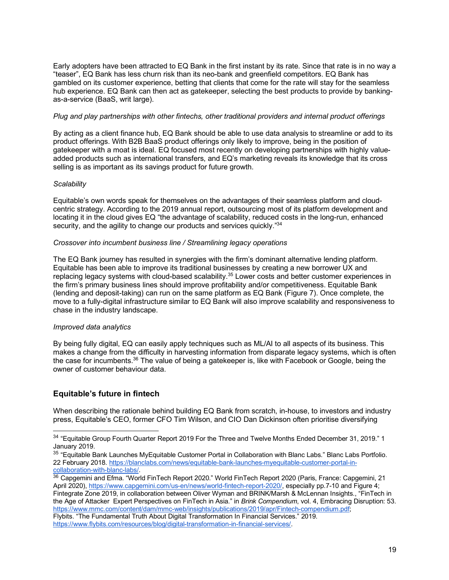Early adopters have been attracted to EQ Bank in the first instant by its rate. Since that rate is in no way a "teaser", EQ Bank has less churn risk than its neo-bank and greenfield competitors. EQ Bank has gambled on its customer experience, betting that clients that come for the rate will stay for the seamless hub experience. EQ Bank can then act as gatekeeper, selecting the best products to provide by bankingas-a-service (BaaS, writ large).

# *Plug and play partnerships with other fintechs, other traditional providers and internal product offerings*

By acting as a client finance hub, EQ Bank should be able to use data analysis to streamline or add to its product offerings. With B2B BaaS product offerings only likely to improve, being in the position of gatekeeper with a moat is ideal. EQ focused most recently on developing partnerships with highly valueadded products such as international transfers, and EQ's marketing reveals its knowledge that its cross selling is as important as its savings product for future growth.

# *Scalability*

Equitable's own words speak for themselves on the advantages of their seamless platform and cloudcentric strategy. According to the 2019 annual report, outsourcing most of its platform development and locating it in the cloud gives EQ "the advantage of scalability, reduced costs in the long-run, enhanced security, and the agility to change our products and services quickly."34

#### *Crossover into incumbent business line / Streamlining legacy operations*

The EQ Bank journey has resulted in synergies with the firm's dominant alternative lending platform. Equitable has been able to improve its traditional businesses by creating a new borrower UX and replacing legacy systems with cloud-based scalability.<sup>35</sup> Lower costs and better customer experiences in the firm's primary business lines should improve profitability and/or competitiveness. Equitable Bank (lending and deposit-taking) can run on the same platform as EQ Bank (Figure 7). Once complete, the move to a fully-digital infrastructure similar to EQ Bank will also improve scalability and responsiveness to chase in the industry landscape.

# *Improved data analytics*

By being fully digital, EQ can easily apply techniques such as ML/AI to all aspects of its business. This makes a change from the difficulty in harvesting information from disparate legacy systems, which is often the case for incumbents.<sup>36</sup> The value of being a gatekeeper is, like with Facebook or Google, being the owner of customer behaviour data.

# **Equitable's future in fintech**

When describing the rationale behind building EQ Bank from scratch, in-house, to investors and industry press, Equitable's CEO, former CFO Tim Wilson, and CIO Dan Dickinson often prioritise diversifying

 <sup>34</sup> "Equitable Group Fourth Quarter Report 2019 For the Three and Twelve Months Ended December 31, 2019." 1 January 2019.

<sup>35</sup> "Equitable Bank Launches MyEquitable Customer Portal in Collaboration with Blanc Labs." Blanc Labs Portfolio. 22 February 2018. https://blanclabs.com/news/equitable-bank-launches-myequitable-customer-portal-in-collaboration-with-blanc-labs/.

<sup>&</sup>lt;sup>36</sup> Capgemini and Efma. "World FinTech Report 2020." World FinTech Report 2020 (Paris, France: Capgemini, 21 April 2020), https://www.capgemini.com/us-en/news/world-fintech-report-2020/, especially pp.7-10 and Figure 4; Fintegrate Zone 2019, in collaboration between Oliver Wyman and BRINK/Marsh & McLennan Insights., "FinTech in the Age of Attacker Expert Perspectives on FinTech in Asia." in *Brink Compendium*, vol. 4, Embracing Disruption: 53. https://www.mmc.com/content/dam/mmc-web/insights/publications/2019/apr/Fintech-compendium.pdf; Flybits. "The Fundamental Truth About Digital Transformation In Financial Services." 2019. https://www.flybits.com/resources/blog/digital-transformation-in-financial-services/.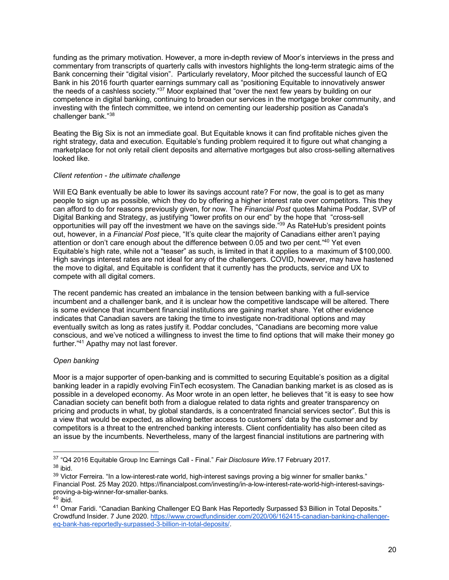funding as the primary motivation. However, a more in-depth review of Moor's interviews in the press and commentary from transcripts of quarterly calls with investors highlights the long-term strategic aims of the Bank concerning their "digital vision". Particularly revelatory, Moor pitched the successful launch of EQ Bank in his 2016 fourth quarter earnings summary call as "positioning Equitable to innovatively answer the needs of a cashless society."37 Moor explained that "over the next few years by building on our competence in digital banking, continuing to broaden our services in the mortgage broker community, and investing with the fintech committee, we intend on cementing our leadership position as Canada's challenger bank."38

Beating the Big Six is not an immediate goal. But Equitable knows it can find profitable niches given the right strategy, data and execution. Equitable's funding problem required it to figure out what changing a marketplace for not only retail client deposits and alternative mortgages but also cross-selling alternatives looked like.

#### *Client retention - the ultimate challenge*

Will EQ Bank eventually be able to lower its savings account rate? For now, the goal is to get as many people to sign up as possible, which they do by offering a higher interest rate over competitors. This they can afford to do for reasons previously given, for now. The *Financial Post* quotes Mahima Poddar, SVP of Digital Banking and Strategy, as justifying "lower profits on our end" by the hope that "cross-sell opportunities will pay off the investment we have on the savings side."39 As RateHub's president points out, however, in a *Financial Post* piece, "It's quite clear the majority of Canadians either aren't paying attention or don't care enough about the difference between 0.05 and two per cent."40 Yet even Equitable's high rate, while not a "teaser" as such, is limited in that it applies to a maximum of \$100,000. High savings interest rates are not ideal for any of the challengers. COVID, however, may have hastened the move to digital, and Equitable is confident that it currently has the products, service and UX to compete with all digital comers.

The recent pandemic has created an imbalance in the tension between banking with a full-service incumbent and a challenger bank, and it is unclear how the competitive landscape will be altered. There is some evidence that incumbent financial institutions are gaining market share. Yet other evidence indicates that Canadian savers are taking the time to investigate non-traditional options and may eventually switch as long as rates justify it. Poddar concludes, "Canadians are becoming more value conscious, and we've noticed a willingness to invest the time to find options that will make their money go further."41 Apathy may not last forever.

#### *Open banking*

Moor is a major supporter of open-banking and is committed to securing Equitable's position as a digital banking leader in a rapidly evolving FinTech ecosystem. The Canadian banking market is as closed as is possible in a developed economy. As Moor wrote in an open letter, he believes that "it is easy to see how Canadian society can benefit both from a dialogue related to data rights and greater transparency on pricing and products in what, by global standards, is a concentrated financial services sector". But this is a view that would be expected, as allowing better access to customers' data by the customer and by competitors is a threat to the entrenched banking interests. Client confidentiality has also been cited as an issue by the incumbents. Nevertheless, many of the largest financial institutions are partnering with

 <sup>37</sup> "Q4 2016 Equitable Group Inc Earnings Call - Final." *Fair Disclosure Wire*.17 February 2017.  $38$  ibid.

<sup>39</sup> Victor Ferreira. "In a low-interest-rate world, high-interest savings proving a big winner for smaller banks." Financial Post. 25 May 2020. https://financialpost.com/investing/in-a-low-interest-rate-world-high-interest-savingsproving-a-big-winner-for-smaller-banks.

 $40$  ibid.

<sup>&</sup>lt;sup>41</sup> Omar Faridi. "Canadian Banking Challenger EQ Bank Has Reportedly Surpassed \$3 Billion in Total Deposits." Crowdfund Insider. 7 June 2020. https://www.crowdfundinsider.com/2020/06/162415-canadian-banking-challengereq-bank-has-reportedly-surpassed-3-billion-in-total-deposits/.